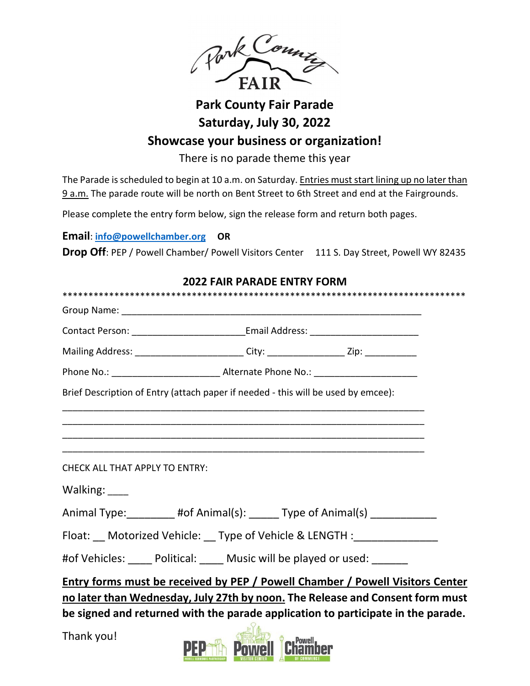

## **Park County Fair Parade Saturday, July 30, 2022**

## **Showcase your business or organization!**

There is no parade theme this year

The Parade is scheduled to begin at 10 a.m. on Saturday. Entries must start lining up no later than 9 a.m. The parade route will be north on Bent Street to 6th Street and end at the Fairgrounds.

Please complete the entry form below, sign the release form and return both pages.

**Email**: **[info@powellchamber.org](mailto:info@powellchamber.org) OR**

**Drop Off: PEP / Powell Chamber/ Powell Visitors Center** 111 S. Day Street, Powell WY 82435

| <b>2022 FAIR PARADE ENTRY FORM</b>                                                                                                                             |                                                                                                      |                                                                                   |  |  |
|----------------------------------------------------------------------------------------------------------------------------------------------------------------|------------------------------------------------------------------------------------------------------|-----------------------------------------------------------------------------------|--|--|
|                                                                                                                                                                |                                                                                                      |                                                                                   |  |  |
|                                                                                                                                                                |                                                                                                      |                                                                                   |  |  |
|                                                                                                                                                                |                                                                                                      | Contact Person: _______________________________Email Address: ___________________ |  |  |
|                                                                                                                                                                | Mailing Address: ___________________________City: _____________________Zip: ________________________ |                                                                                   |  |  |
|                                                                                                                                                                |                                                                                                      |                                                                                   |  |  |
| Brief Description of Entry (attach paper if needed - this will be used by emcee):                                                                              |                                                                                                      |                                                                                   |  |  |
|                                                                                                                                                                |                                                                                                      |                                                                                   |  |  |
|                                                                                                                                                                |                                                                                                      |                                                                                   |  |  |
|                                                                                                                                                                |                                                                                                      |                                                                                   |  |  |
| <b>CHECK ALL THAT APPLY TO ENTRY:</b>                                                                                                                          |                                                                                                      |                                                                                   |  |  |
| Walking: ____                                                                                                                                                  |                                                                                                      |                                                                                   |  |  |
|                                                                                                                                                                | Animal Type: _________ #of Animal(s): ______ Type of Animal(s) ____________                          |                                                                                   |  |  |
| Float: Motorized Vehicle: Type of Vehicle & LENGTH : _______________                                                                                           |                                                                                                      |                                                                                   |  |  |
|                                                                                                                                                                | #of Vehicles: _____ Political: _____ Music will be played or used: ______                            |                                                                                   |  |  |
| Entry forms must be received by PEP / Powell Chamber / Powell Visitors Center<br>no later than Wednesday, July 27th by noon. The Release and Consent form must |                                                                                                      |                                                                                   |  |  |
| be signed and returned with the parade application to participate in the parade.<br>$\overline{O}$ .                                                           |                                                                                                      |                                                                                   |  |  |

Thank you!

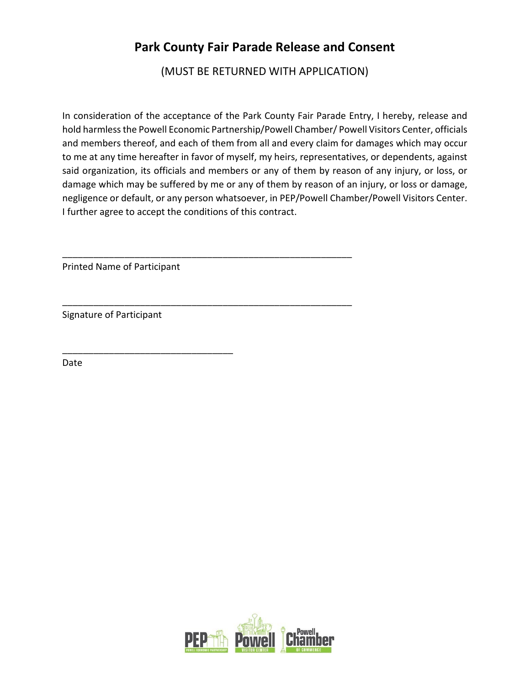## **Park County Fair Parade Release and Consent**

(MUST BE RETURNED WITH APPLICATION)

In consideration of the acceptance of the Park County Fair Parade Entry, I hereby, release and hold harmless the Powell Economic Partnership/Powell Chamber/ Powell Visitors Center, officials and members thereof, and each of them from all and every claim for damages which may occur to me at any time hereafter in favor of myself, my heirs, representatives, or dependents, against said organization, its officials and members or any of them by reason of any injury, or loss, or damage which may be suffered by me or any of them by reason of an injury, or loss or damage, negligence or default, or any person whatsoever, in PEP/Powell Chamber/Powell Visitors Center. I further agree to accept the conditions of this contract.

\_\_\_\_\_\_\_\_\_\_\_\_\_\_\_\_\_\_\_\_\_\_\_\_\_\_\_\_\_\_\_\_\_\_\_\_\_\_\_\_\_\_\_\_\_\_\_\_\_\_\_\_\_\_\_\_

\_\_\_\_\_\_\_\_\_\_\_\_\_\_\_\_\_\_\_\_\_\_\_\_\_\_\_\_\_\_\_\_\_\_\_\_\_\_\_\_\_\_\_\_\_\_\_\_\_\_\_\_\_\_\_\_

Printed Name of Participant

\_\_\_\_\_\_\_\_\_\_\_\_\_\_\_\_\_\_\_\_\_\_\_\_\_\_\_\_\_\_\_\_\_

Signature of Participant

Date